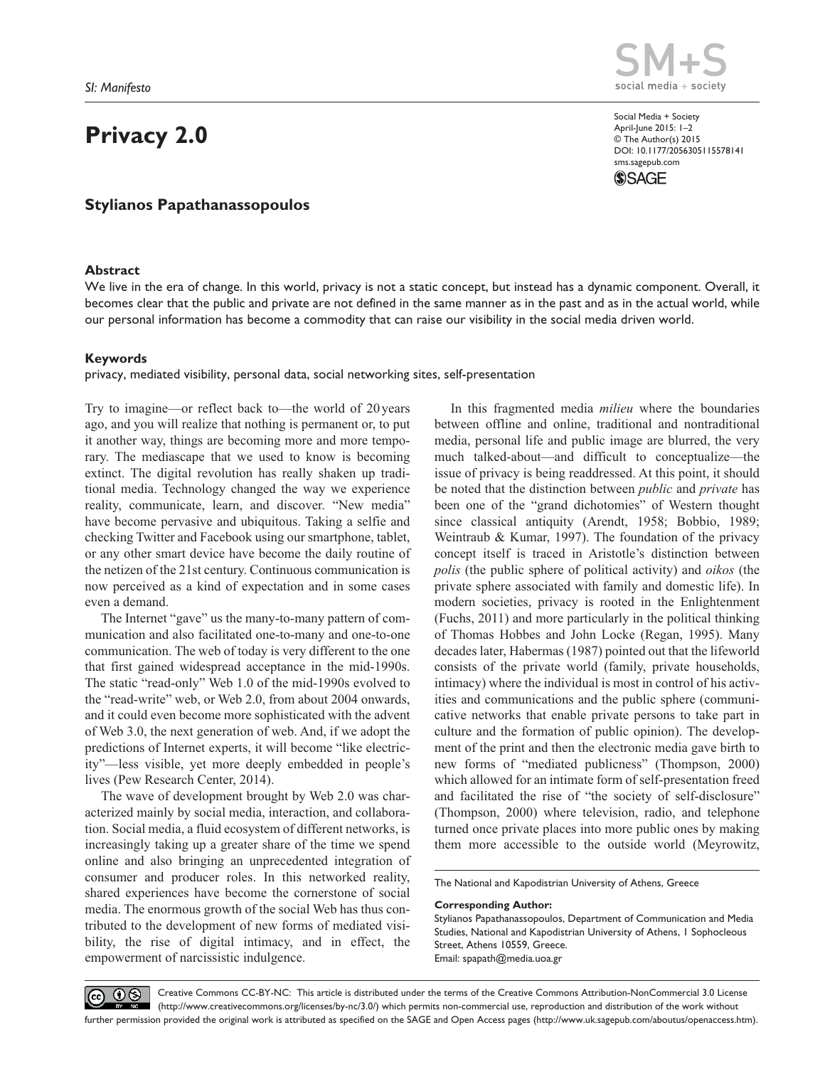# **Privacy 2.0**

## **Stylianos Papathanassopoulos**

## **Abstract**



Social Media + Society April-June 2015: 1–2 © The Author(s) 2015 DOI: 10.1177/2056305115578141 sms.sagepub.com **SSAGE** 

We live in the era of change. In this world, privacy is not a static concept, but instead has a dynamic component. Overall, it becomes clear that the public and private are not defined in the same manner as in the past and as in the actual world, while our personal information has become a commodity that can raise our visibility in the social media driven world.

### **Keywords**

privacy, mediated visibility, personal data, social networking sites, self-presentation

Try to imagine—or reflect back to—the world of 20 years ago, and you will realize that nothing is permanent or, to put it another way, things are becoming more and more temporary. The mediascape that we used to know is becoming extinct. The digital revolution has really shaken up traditional media. Technology changed the way we experience reality, communicate, learn, and discover. "New media" have become pervasive and ubiquitous. Taking a selfie and checking Twitter and Facebook using our smartphone, tablet, or any other smart device have become the daily routine of the netizen of the 21st century. Continuous communication is now perceived as a kind of expectation and in some cases even a demand.

The Internet "gave" us the many-to-many pattern of communication and also facilitated one-to-many and one-to-one communication. The web of today is very different to the one that first gained widespread acceptance in the mid-1990s. The static "read-only" Web 1.0 of the mid-1990s evolved to the "read-write" web, or Web 2.0, from about 2004 onwards, and it could even become more sophisticated with the advent of Web 3.0, the next generation of web. And, if we adopt the predictions of Internet experts, it will become "like electricity"—less visible, yet more deeply embedded in people's lives (Pew Research Center, 2014).

The wave of development brought by Web 2.0 was characterized mainly by social media, interaction, and collaboration. Social media, a fluid ecosystem of different networks, is increasingly taking up a greater share of the time we spend online and also bringing an unprecedented integration of consumer and producer roles. In this networked reality, shared experiences have become the cornerstone of social media. The enormous growth of the social Web has thus contributed to the development of new forms of mediated visibility, the rise of digital intimacy, and in effect, the empowerment of narcissistic indulgence.

In this fragmented media *milieu* where the boundaries between offline and online, traditional and nontraditional media, personal life and public image are blurred, the very much talked-about—and difficult to conceptualize—the issue of privacy is being readdressed. At this point, it should be noted that the distinction between *public* and *private* has been one of the "grand dichotomies" of Western thought since classical antiquity (Arendt, 1958; Bobbio, 1989; Weintraub & Kumar, 1997). The foundation of the privacy concept itself is traced in Aristotle's distinction between *polis* (the public sphere of political activity) and *oikos* (the private sphere associated with family and domestic life). In modern societies, privacy is rooted in the Enlightenment (Fuchs, 2011) and more particularly in the political thinking of Thomas Hobbes and John Locke (Regan, 1995). Many decades later, Habermas (1987) pointed out that the lifeworld consists of the private world (family, private households, intimacy) where the individual is most in control of his activities and communications and the public sphere (communicative networks that enable private persons to take part in culture and the formation of public opinion). The development of the print and then the electronic media gave birth to new forms of "mediated publicness" (Thompson, 2000) which allowed for an intimate form of self-presentation freed and facilitated the rise of "the society of self-disclosure" (Thompson, 2000) where television, radio, and telephone turned once private places into more public ones by making them more accessible to the outside world (Meyrowitz,

The National and Kapodistrian University of Athens, Greece

#### **Corresponding Author:**

Stylianos Papathanassopoulos, Department of Communication and Media Studies, National and Kapodistrian University of Athens, 1 Sophocleous Street, Athens 10559, Greece. Email: [spapath@media.uoa.gr](mailto:spapath@media.uoa.gr)

 $\circledcirc$   $\circledcirc$ 

Creative Commons CC-BY-NC: This article is distributed under the terms of the Creative Commons Attribution-NonCommercial 3.0 License (http://www.creativecommons.org/licenses/by-nc/3.0/) which permits non-commercial use, reproduction and distribution of the work without further permission provided the original work is attributed as specified on the SAGE and Open Access pages (http://www.uk.sagepub.com/aboutus/openaccess.htm).